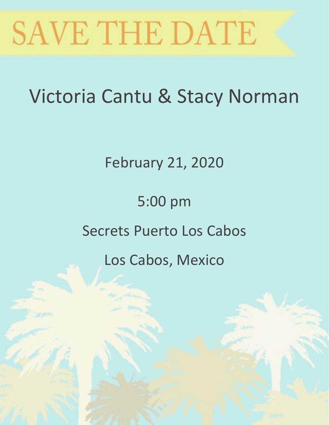

# Victoria Cantu & Stacy Norman

February 21, 2020

## 5:00 pm

### Secrets Puerto Los Cabos

### Los Cabos, Mexico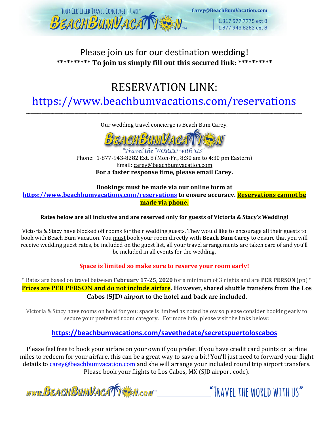

#### Please join us for our destination wedding! **\*\*\*\*\*\*\*\*\*\* To join us simply fill out this secured link: \*\*\*\*\*\*\*\*\*\***

### RESERVATION LINK:

<https://www.beachbumvacations.com/reservations> \_\_\_\_\_\_\_\_\_\_\_\_\_\_\_\_\_\_\_\_\_\_\_\_\_\_\_\_\_\_\_\_\_\_\_\_\_\_\_\_\_\_\_\_\_\_\_\_\_\_\_\_\_\_\_\_\_\_\_\_\_\_\_\_\_\_\_\_\_\_\_\_\_\_\_\_\_\_\_\_\_\_\_\_\_\_\_\_\_\_\_\_\_\_\_\_\_\_\_\_\_\_\_\_\_\_\_\_\_\_\_\_\_\_\_\_\_\_\_\_\_\_\_\_\_\_

Our wedding travel concierge is Beach Bum Carey.



"Travel the WORLD with US Phone: 1-877-943-8282 Ext. 8 (Mon-Fri, 8:30 am to 4:30 pm Eastern) Email: [carey@beachbumvacation.com](mailto:carey@beachbumvacation.com) **For a faster response time, please email Carey.** 

#### **Bookings must be made via our online form at**

**<https://www.beachbumvacations.com/reservations> to ensure accuracy. Reservations cannot be made via phone.**

#### **Rates below are all inclusive and are reserved only for guests of Victoria & Stacy's Wedding!**

Victoria & Stacy have blocked off rooms for their wedding guests. They would like to encourage all their guests to book with Beach Bum Vacation. You must book your room directly with **Beach Bum Carey** to ensure that you will receive wedding guest rates, be included on the guest list, all your travel arrangements are taken care of and you'll be included in all events for the wedding.

#### **Space is limited so make sure to reserve your room early!**

\* Rates are based on travel between **February 17-25, 2020** for a minimum of 3 nights and are **PER PERSON** (pp) \* **Prices are PER PERSON and do not include airfare. However, shared shuttle transfers from the Los Cabos (SJD) airport to the hotel and back are included.** 

Victoria & Stacy have rooms on hold for you; space is limited as noted below so please consider booking early to secure your preferred room category. For more info, please visit the links below:

#### **<https://beachbumvacations.com/savethedate/secretspuertoloscabos>**

Please feel free to book your airfare on your own if you prefer. If you have credit card points or airline miles to redeem for your airfare, this can be a great way to save a bit! You'll just need to forward your flight details to [carey@beachbumvacation.com](mailto:carey@beachbumvacation.com) and she will arrange your included round trip airport transfers. Please book your flights to Los Cabos, MX (SJD airport code).

www.BEACHBUMVACATTEM.com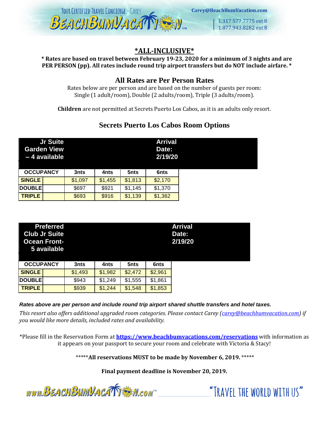

Carey@BeachBumVacation.com

1.317.577.7775 ext 8 1.877.943.8282 ext 8

#### **\*ALL-INCLUSIVE\***

**\* Rates are based on travel between February 19-23, 2020 for a minimum of 3 nights and are PER PERSON (pp). All rates include round trip airport transfers but do NOT include airfare. \***

#### **All Rates are Per Person Rates**

Rates below are per person and are based on the number of guests per room: Single (1 adult/room), Double (2 adults/room), Triple (3 adults/room).

**Children** are not permitted at Secrets Puerto Los Cabos, as it is an adults only resort.

#### **Secrets Puerto Los Cabos Room Options**

|                  | <b>Jr Suite</b><br><b>Garden View</b><br>-4 available |         |         |         | <b>Arrival</b><br>Date:<br>2/19/20 |
|------------------|-------------------------------------------------------|---------|---------|---------|------------------------------------|
| <b>OCCUPANCY</b> |                                                       | 3nts    | 4nts    | 5nts    | 6nts                               |
| <b>SINGLE</b>    |                                                       | \$1,097 | \$1,455 | \$1,813 | \$2,170                            |
| <b>DOUBLE</b>    |                                                       | \$697   | \$921   | \$1,145 | \$1,370                            |
| <b>TRIPLE</b>    |                                                       | \$693   | \$916   | \$1,139 | \$1,362                            |

| <b>Preferred</b><br><b>Club Jr Suite</b><br><b>Ocean Front-</b><br>5 available |         |         |         |         | <b>Arrival</b><br>Date:<br>2/19/20 |
|--------------------------------------------------------------------------------|---------|---------|---------|---------|------------------------------------|
| <b>OCCUPANCY</b>                                                               | 3nts    | 4nts    | 5nts    | 6nts    |                                    |
| <b>SINGLE</b>                                                                  | \$1,493 | \$1,982 | \$2,472 | \$2,961 |                                    |
| <b>DOUBLE</b>                                                                  | \$943   | \$1,249 | \$1,555 | \$1,861 |                                    |
| <b>TRIPLE</b>                                                                  | \$939   | \$1,244 | \$1,548 | \$1,853 |                                    |

*Rates above are per person and include round trip airport shared shuttle transfers and hotel taxes.*

*This resort also offers additional upgraded room categories. Please contact Carey [\(carey@beachbumvacation.com\)](mailto:carey@beachbumvacation.com) if you would like more details, included rates and availability.* 

\*Please fill in the Reservation Form at **<https://www.beachbumvacations.com/reservations>** with information as it appears on your passport to secure your room and celebrate with Victoria & Stacy!

\*\*\*\*\***All reservations MUST to be made by November 6, 2019.** \*\*\*\*\*

**Final payment deadline is November 20, 2019.**

www.BEACHBUMVACATTEM.com

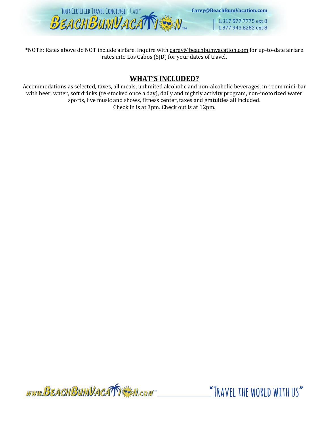

\*NOTE: Rates above do NOT include airfare. Inquire with [carey@beachbumvacation.com](mailto:carey@beachbumvacation.com) for up-to-date airfare rates into Los Cabos (SJD) for your dates of travel.

#### **WHAT'S INCLUDED?**

Accommodations as selected, taxes, all meals, unlimited alcoholic and non-alcoholic beverages, in-room mini-bar with beer, water, soft drinks (re-stocked once a day), daily and nightly activity program, non-motorized water sports, live music and shows, fitness center, taxes and gratuities all included. Check in is at 3pm. Check out is at 12pm.

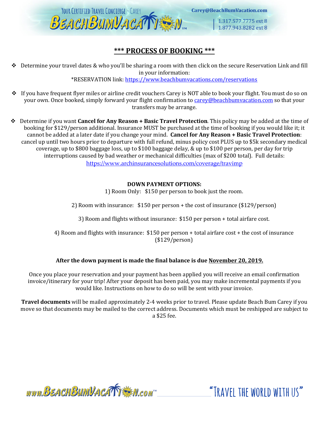

Carey@BeachBumVacation.com

1.317.577.7775 ext 8 1.877.943.8282 ext 8

#### **\*\*\* PROCESS OF BOOKING \*\*\***

 $\triangle$  Determine your travel dates & who you'll be sharing a room with then click on the secure Reservation Link and fill in your information:

\*RESERVATION link:<https://www.beachbumvacations.com/reservations>

- ❖ If you have frequent flyer miles or airline credit vouchers Carey is NOT able to book your flight. You must do so on your own. Once booked, simply forward your flight confirmation to [carey@beachbumvacation.com](mailto:carey@beachbumvacation.com) so that your transfers may be arrange.
- ❖ Determine if you want **Cancel for Any Reason + Basic Travel Protection**. This policy may be added at the time of booking for \$129/person additional. Insurance MUST be purchased at the time of booking if you would like it; it cannot be added at a later date if you change your mind. **Cancel for Any Reason + Basic Travel Protection**: cancel up until two hours prior to departure with full refund, minus policy cost PLUS up to \$5k secondary medical coverage, up to \$800 baggage loss, up to \$100 baggage delay, & up to \$100 per person, per day for trip interruptions caused by bad weather or mechanical difficulties (max of \$200 total). Full details: https://www.archinsurancesolutions.com/coverage/travimp

#### **DOWN PAYMENT OPTIONS:**

1) Room Only: \$150 per person to book just the room.

2) Room with insurance: \$150 per person + the cost of insurance (\$129/person)

3) Room and flights without insurance: \$150 per person + total airfare cost.

4) Room and flights with insurance: \$150 per person + total airfare cost + the cost of insurance (\$129/person)

#### **After the down payment is made the final balance is due November 20, 2019.**

Once you place your reservation and your payment has been applied you will receive an email confirmation invoice/itinerary for your trip! After your deposit has been paid, you may make incremental payments if you would like. Instructions on how to do so will be sent with your invoice.

**Travel documents** will be mailed approximately 2-4 weeks prior to travel. Please update Beach Bum Carey if you move so that documents may be mailed to the correct address. Documents which must be reshipped are subject to a \$25 fee.

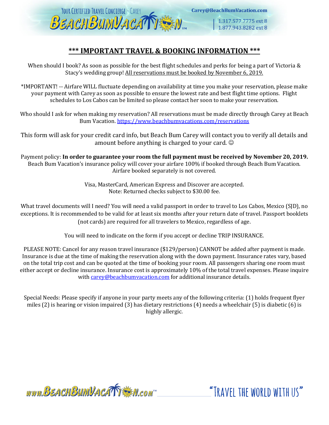

1.317.577.7775 ext 8 1.877.943.8282 ext 8

#### **\*\*\* IMPORTANT TRAVEL & BOOKING INFORMATION \*\*\***

When should I book? As soon as possible for the best flight schedules and perks for being a part of Victoria & Stacy's wedding group! All reservations must be booked by November 6, 2019.

\*IMPORTANT! -- Airfare WILL fluctuate depending on availability at time you make your reservation, please make your payment with Carey as soon as possible to ensure the lowest rate and best flight time options. Flight schedules to Los Cabos can be limited so please contact her soon to make your reservation.

Who should I ask for when making my reservation? All reservations must be made directly through Carey at Beach Bum Vacation.<https://www.beachbumvacations.com/reservations>

This form will ask for your credit card info, but Beach Bum Carey will contact you to verify all details and amount before anything is charged to your card.  $\odot$ 

Payment policy: **In order to guarantee your room the full payment must be received by November 20, 2019.** Beach Bum Vacation's insurance policy will cover your airfare 100% if booked through Beach Bum Vacation. Airfare booked separately is not covered.

> Visa, MasterCard, American Express and Discover are accepted. Note: Returned checks subject to \$30.00 fee.

What travel documents will I need? You will need a valid passport in order to travel to Los Cabos, Mexico (SJD), no exceptions. It is recommended to be valid for at least six months after your return date of travel. Passport booklets (not cards) are required for all travelers to Mexico, regardless of age.

You will need to indicate on the form if you accept or decline TRIP INSURANCE.

PLEASE NOTE: Cancel for any reason travel insurance (\$129/person) CANNOT be added after payment is made. Insurance is due at the time of making the reservation along with the down payment. Insurance rates vary, based on the total trip cost and can be quoted at the time of booking your room. All passengers sharing one room must either accept or decline insurance. Insurance cost is approximately 10% of the total travel expenses. Please inquire with [carey@beachbumvacation.com](mailto:carey@beachbumvacation.com) for additional insurance details.

Special Needs: Please specify if anyone in your party meets any of the following criteria: (1) holds frequent flyer miles (2) is hearing or vision impaired (3) has dietary restrictions (4) needs a wheelchair (5) is diabetic (6) is highly allergic.

www.BEACHBUMVACATTE M.com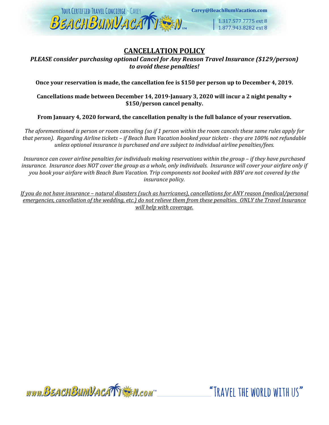

#### **CANCELLATION POLICY**

*PLEASE consider purchasing optional Cancel for Any Reason Travel Insurance (\$129/person) to avoid these penalties!* 

**Once your reservation is made, the cancellation fee is \$150 per person up to December 4, 2019.** 

**Cancellations made between December 14, 2019-January 3, 2020 will incur a 2 night penalty + \$150/person cancel penalty.** 

**From January 4, 2020 forward, the cancellation penalty is the full balance of your reservation.**

*The aforementioned is person or room canceling (so if 1 person within the room cancels these same rules apply for that person). Regarding Airline tickets – if Beach Bum Vacation booked your tickets - they are 100% not refundable unless optional insurance is purchased and are subject to individual airline penalties/fees.* 

*Insurance can cover airline penalties for individuals making reservations within the group – if they have purchased insurance. Insurance does NOT cover the group as a whole, only individuals. Insurance will cover your airfare only if you book your airfare with Beach Bum Vacation. Trip components not booked with BBV are not covered by the insurance policy.* 

*If you do not have insurance – natural disasters (such as hurricanes), cancellations for ANY reason (medical/personal emergencies, cancellation of the wedding, etc.) do not relieve them from these penalties. ONLY the Travel Insurance will help with coverage.*

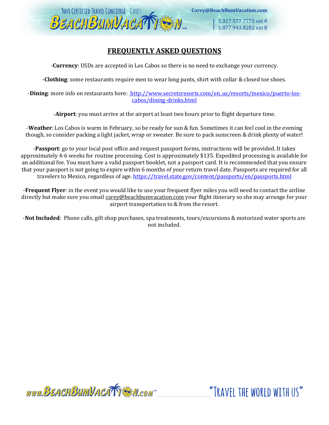

#### **FREQUENTLY ASKED QUESTIONS**

-**Currency**: USDs are accepted in Los Cabos so there is no need to exchange your currency.

-**Clothing**: some restaurants require men to wear long pants, shirt with collar & closed toe shoes.

-**Dining**: more info on restaurants here: [http://www.secretsresorts.com/en\\_us/resorts/mexico/puerto-los](http://www.secretsresorts.com/en_us/resorts/mexico/puerto-los-cabos/dining-drinks.html)[cabos/dining-drinks.html](http://www.secretsresorts.com/en_us/resorts/mexico/puerto-los-cabos/dining-drinks.html)

-**Airport**: you must arrive at the airport at least two hours prior to flight departure time.

-**Weather**: Los Cabos is warm in February, so be ready for sun & fun. Sometimes it can feel cool in the evening though, so consider packing a light jacket, wrap or sweater. Be sure to pack sunscreen & drink plenty of water!

-**Passport**: go to your local post office and request passport forms, instructions will be provided. It takes approximately 4-6 weeks for routine processing. Cost is approximately \$135. Expedited processing is available for an additional fee. You must have a valid passport booklet, not a passport card. It is recommended that you ensure that your passport is not going to expire within 6 months of your return travel date. Passports are required for all travelers to Mexico, regardless of age.<https://travel.state.gov/content/passports/en/passports.html>

-**Frequent Flyer**: in the event you would like to use your frequent flyer miles you will need to contact the airline directly but make sure you email [carey@beachbumvacation.com](mailto:carey@beachbumvacation.com) your flight itinerary so she may arrange for your airport transportation to & from the resort.

-**Not Included**: Phone calls, gift shop purchases, spa treatments, tours/excursions & motorized water sports are not included.

www.BEACHBUMVACATTEN.com